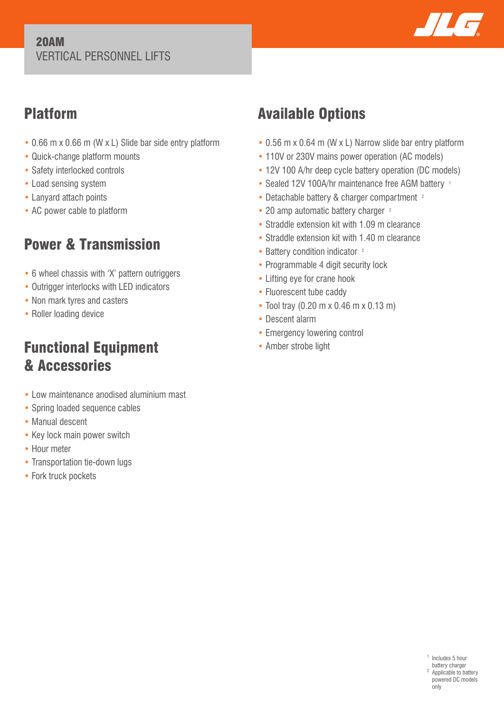#### 20AM VERTICAL PERSONNEL LIFTS



## Platform

- 0.66 m x 0.66 m (W x L) Slide bar side entry platform
- Quick-change platform mounts
- Safety interlocked controls
- Load sensing system
- Lanyard attach points
- AC power cable to platform

# Power & Transmission

- 6 wheel chassis with 'X' pattern outriggers
- Outrigger interlocks with LED indicators
- Non mark tyres and casters
- Roller loading device

## Functional Equipment & Accessories

- Low maintenance anodised aluminium mast
- Spring loaded sequence cables
- Manual descent
- Key lock main power switch
- Hour meter
- Transportation tie-down lugs
- Fork truck pockets

# Available Options

- 0.56 m x 0.64 m (W x L) Narrow slide bar entry platform
- 110V or 230V mains power operation (AC models)
- 12V 100 A/hr deep cycle battery operation (DC models)
- Sealed 12V 100A/hr maintenance free AGM battery 1
- Detachable battery & charger compartment <sup>2</sup>
- 20 amp automatic battery charger <sup>2</sup>
- Straddle extension kit with 1.09 m clearance
- Straddle extension kit with 1.40 m clearance
- Battery condition indicator <sup>2</sup>
- Programmable 4 digit security lock
- Lifting eye for crane hook
- Fluorescent tube caddy
- Tool tray (0.20 m x 0.46 m x 0.13 m)
- Descent alarm
- Emergency lowering control
- Amber strobe light

<sup>1</sup> Includes 5 hour battery charger <sup>2</sup> Applicable to battery powered DC models only